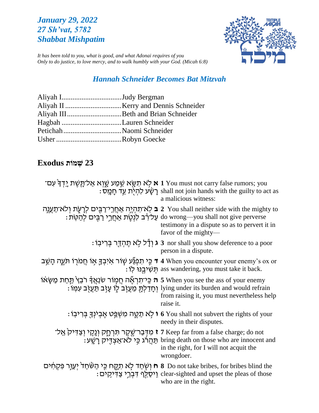# *January 29, 2022 27 Sh'vat, 5782 Shabbat Mishpatim*



*It has been told to you, what is good, and what Adonai requires of you Only to do justice, to love mercy, and to walk humbly with your God. (Micah 6:8)*

# *Hannah Schneider Becomes Bat Mitzvah*

| Aliyah IJudy Bergman |
|----------------------|
|                      |
|                      |
|                      |
|                      |
|                      |
|                      |

# **23 שְׁ מֹות Exodus**

| י אַל־תֶּשֶׁת אַל־תֶּשֶׁת (יִדְּךָ אִם I You must not carry false rumors; you                       | : רַשָּׂע לְהִיֹּת עֵד חָמֵשׁ: shall not join hands with the guilty to act as<br>a malicious witness:                                                                                                                                                         |
|-----------------------------------------------------------------------------------------------------|---------------------------------------------------------------------------------------------------------------------------------------------------------------------------------------------------------------------------------------------------------------|
|                                                                                                     | י You shall neither side with the mighty to בּ לְא־תִהְיֶה אַחֲרֵי־רַבָּים לְרָעֶת וְלֹא־תַעֲנֶה 2<br>to wrong—you shall not give perverse עַל־רָב לִנְטֶת אַחֲרֵי רַבִּים לְהַטֶּת:<br>testimony in a dispute so as to pervert it in<br>favor of the mighty— |
|                                                                                                     | : ג וִדָּל לְא תֵהְדָּר בִּרִיבְוֹ 3 nor shall you show deference to a poor<br>person in a dispute.                                                                                                                                                           |
| י בִּי תִפְגַּּע שְׂוֹר אִיכִדְּ אוֹ חֲמֹרְוֹ הֹּעֵה הָשֵׁב 1 When you encounter your enemy's ox or | : תִּשְׁיִבְנוּ לְוֹ ass wandering, you must take it back.                                                                                                                                                                                                    |
| י אוֹנאַן לבֵץ תַּחַת מַשָּׂאוֹ 5 When you see the ass of your enemy                                | : וְחָדַלְתָּ מֵעֲזָב לְוֹ עַזָּב תַּעֲזָב עִמְוֹ lying under its burden and would refrain<br>from raising it, you must nevertheless help<br>raise it.                                                                                                        |
|                                                                                                     | t o You shall not subvert the rights of your (לְא תַמֱה מִשְׁפֵּט אֵבִיׁנְךָּ בִּרִיבְוֹ<br>needy in their disputes.                                                                                                                                          |
|                                                                                                     | ז גּוּדְּבַר־שֶׁקֶר תִּרְחֶק וְנָקֶי וְצַדִּיק אֲל־ Keep far from a false charge; do not<br>. תַּהֲרֹּג כֵּי לֹא־אֲצְדֶיק רַשֵּׁע bring death on those who are innocent and<br>in the right, for I will not acquit the<br>wrongdoer.                          |
| ת וַשְּׁחַד לְא תָקֶח כֵּי הַשֶּׁחַד יְעֵוְּר פִּקְחִים O not take bribes, for bribes blind the     | : וֵיסֱלֵף דְּבְרֵי צַדִּיקֵים clear-sighted and upset the pleas of those<br>who are in the right.                                                                                                                                                            |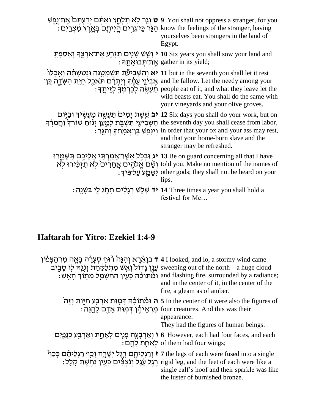|                                                                                                                                                           | יַנְעְתָּם יְדַעְתָּם אָת־גֶפֶשׁ 9 You shall not oppress a stranger, for you אֲת־גֶפֶשׁ<br>: הַיִּיתֵּם בְּאֱרֵץ מִצְרָיִם בִּאֲרֵץ מִצְרָיִם know the feelings of the stranger, having<br>yourselves been strangers in the land of<br>Egypt.                                                                                                                         |
|-----------------------------------------------------------------------------------------------------------------------------------------------------------|-----------------------------------------------------------------------------------------------------------------------------------------------------------------------------------------------------------------------------------------------------------------------------------------------------------------------------------------------------------------------|
|                                                                                                                                                           | יַ יְשֵׁשׁ שָׁנֻים תִּזְרֵע אֶת־אַרְצֵדְ וְאָסַפְתָּ 10 Six years you shall sow your land and<br>: אַת־תְּבוּאָתָה gather in its yield;                                                                                                                                                                                                                               |
| יאָרָלוּ 11 but in the seventh you shall let it rest<br>and lie fallow. Let the needy among your אֱבִיּנֵי עַמֵּק וִיתִרָם תֹּאכַל חַיַּת הַשָּׂדֶה כֵּן־ | : תַּעֲשֶׂה לְכַרְמִךָּ לְזֵיתֵךְ people eat of it, and what they leave let the<br>wild beasts eat. You shall do the same with<br>your vineyards and your olive groves.                                                                                                                                                                                               |
|                                                                                                                                                           | יבּ שֵׁשֶׁת יָמִים ׁפַּעֲשֱׂה מַעֲשֶׂיךָ וּבַיִּוֹם 2 Six days you shall do your work, but on<br>the seventh day you shall cease from labor, הַשָּׁבִיעִי הִנִשְׁבָּת לִמְעֵן יָנוּחַ שְׁוֹרְךָ וַחֲמֹרֶךְ<br>: וְיָנָּפֵט בֶּן־אֲמָתְךָ וְהַגֵּר in order that your ox and your ass may rest,<br>and that your home-born slave and the<br>stranger may be refreshed. |
|                                                                                                                                                           | יג וּבְכֶּל אֲשֶׁר־אָמַרְהִי אֲלֵיכֶם הִישָּׁמֵרוּ 13 Be on guard concerning all that I have<br>told you. Make no mention of the names of יָשֵׁם אֱלֹהֶים אֲחֵרִים לָא תַזְּכִּירוּ לְא<br>: יִשֶּׁמֲעַ עַל־פֵּיךָ: other gods; they shall not be heard on your<br>lips.                                                                                              |
|                                                                                                                                                           | י <del>ד</del> שָׁלְשׁ רְגָלִים תָּחְג לִי בַּשָּׁנֵה 14 Three times a year you shall hold a<br>festival for Me                                                                                                                                                                                                                                                       |

# **Haftarah for Yitro: Ezekiel 1:4-9**

| י בַּנָאֵנְרָא וְהִנֵּה ּבוּ רוּחַ סְעָרָה בָּאֲה מִן־הַצָּפֿוֹן a I looked, and lo, a stormy wind came<br>עָגֶן גָּדוֹל וְאֵשׁ מִתְּלַקֵּחַת וְנָגֵהּ לָוֹ סָבֵיב sweeping out of the north—a huge cloud<br>וּמִרּוֹלָה כְּעֵין ה<br>and in the center of it, in the center of the<br>fire, a gleam as of amber. |
|-------------------------------------------------------------------------------------------------------------------------------------------------------------------------------------------------------------------------------------------------------------------------------------------------------------------|
| ה וּמִתּוֹכָּה דְּמָוּת אַרְבַּע חַיְּוֹת זָהָל 5 In the center of it were also the figures of<br>הַנָּה לְהֵנָה four creatures. And this was their<br>appearance:<br>They had the figures of human beings.                                                                                                       |
| ו אֲרָבְּעֶה פְּנֻים לְאֶחֶת וְאַרְבַּע כִּנָמַיִם ( However, each had four faces, and each<br>:of them had four wings לְאַחֵת לַהֵם of them had four wings                                                                                                                                                       |
| י וַרַגְלֵיהֶם רֵגֶל יְשָׁרֶה וְכַוְ דַגְלֵיהֶם כְּכַן the legs of each were fused into a single<br>הֵגֶל עֵׁגֶל וְנָצְצִים כְּעֵין נְחָשֶׁת קָלֶל : ``` rigid leg, and the feet of each were like a<br>single calf's hoof and their sparkle was like<br>the luster of burnished bronze.                          |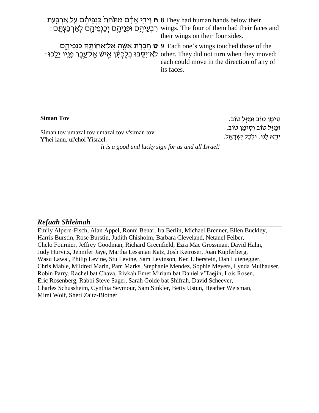| n 8 They had human hands below their לְיִדֵי אָדָם מִתַּּחֲתֹ כַּנְפֵיהֶם עַל אַרְבַּעַת S They had human hands below their | : רִבְעֵיהֵם וּפְנֵיהֵם וְכַנְפֵיהֵם לְאַרְבַּעְתָּם wings. The four of them had their faces and<br>their wings on their four sides.                                                                               |
|-----------------------------------------------------------------------------------------------------------------------------|--------------------------------------------------------------------------------------------------------------------------------------------------------------------------------------------------------------------|
|                                                                                                                             | פ פֿנפיהָם 9 Each one's wings touched those of the<br>: לא־יַסֵבוּ בְלֵכְתַן אֱישׁ אֱל־עֱבֶר פֶּנֶיו יֵלֵכוּ other. They did not turn when they moved;<br>each could move in the direction of any of<br>its faces. |

#### **Siman Tov**

Siman tov umazal tov umazal tov v'siman tov Y'hei lanu, ul'chol Yisrael*.*

ּסִימָן טוֹב וּמַזַּל טוֹב. וּמַזַּל טוֹב וְסִימָן טוֹב. יְהֵא לָנוּ. וּלְכַל יְשְׂרָאֵל.

*It is a good and lucky sign for us and all Israel!*

### *Refuah Shleimah*

Emily Alpern-Fisch, Alan Appel, Ronni Behar, Ira Berlin, Michael Brenner, Ellen Buckley, Harris Burstin, Rose Burstin, Judith Chisholm, Barbara Cleveland, Netanel Felber, Chelo Fournier, Jeffrey Goodman, Richard Greenfield, Ezra Mac Grossman, David Hahn, Judy Hurvitz, Jennifer Jaye, Martha Lessman Katz, Josh Ketroser, Joan Kupferberg, Wasu Lawal, Philip Levine, Stu Levine, Sam Levinson, Ken Liberstein, Dan Lutenegger, Chris Mahle, Mildred Marin, Pam Marks, Stephanie Mendez, Sophie Meyers, Lynda Mulhauser, Robin Parry, Rachel bat Chava, Rivkah Emet Miriam bat Daniel v'Taejin, Lois Rosen, Eric Rosenberg, Rabbi Steve Sager, Sarah Golde bat Shifrah, David Scheever, Charles Schussheim, Cynthia Seymour, Sam Sinkler, Betty Ustun, Heather Weisman, Mimi Wolf, Sheri Zaitz-Blotner